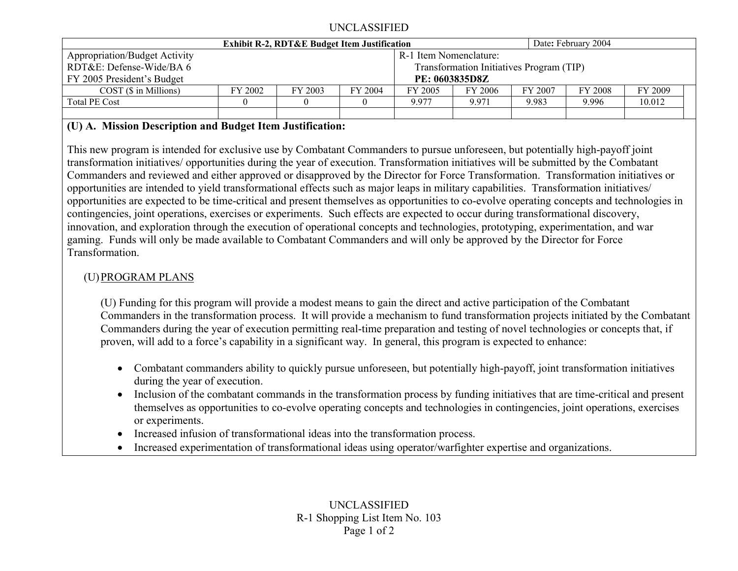### UNCLASSIFIED

|                                      | <b>Exhibit R-2, RDT&amp;E Budget Item Justification</b> |         |         |                        | Date: February 2004 |         |         |         |
|--------------------------------------|---------------------------------------------------------|---------|---------|------------------------|---------------------|---------|---------|---------|
| <b>Appropriation/Budget Activity</b> |                                                         |         |         | R-1 Item Nomenclature: |                     |         |         |         |
| RDT&E: Defense-Wide/BA 6             | Transformation Initiatives Program (TIP)                |         |         |                        |                     |         |         |         |
| FY 2005 President's Budget           | <b>PE: 0603835D8Z</b>                                   |         |         |                        |                     |         |         |         |
| $COST(S)$ in Millions)               | FY 2002                                                 | FY 2003 | FY 2004 | FY 2005                | FY 2006             | FY 2007 | FY 2008 | FY 2009 |
| <b>Total PE Cost</b>                 |                                                         |         |         | 9.977                  | 9.971               | 9.983   | 9.996   | 10.012  |
|                                      |                                                         |         |         |                        |                     |         |         |         |

## **(U) A. Mission Description and Budget Item Justification:**

This new program is intended for exclusive use by Combatant Commanders to pursue unforeseen, but potentially high-payoff joint transformation initiatives/ opportunities during the year of execution. Transformation initiatives will be submitted by the Combatant Commanders and reviewed and either approved or disapproved by the Director for Force Transformation. Transformation initiatives or opportunities are intended to yield transformational effects such as major leaps in military capabilities. Transformation initiatives/ opportunities are expected to be time-critical and present themselves as opportunities to co-evolve operating concepts and technologies in contingencies, joint operations, exercises or experiments. Such effects are expected to occur during transformational discovery, innovation, and exploration through the execution of operational concepts and technologies, prototyping, experimentation, and war gaming. Funds will only be made available to Combatant Commanders and will only be approved by the Director for Force Transformation.

# (U)PROGRAM PLANS

(U) Funding for this program will provide a modest means to gain the direct and active participation of the Combatant Commanders in the transformation process. It will provide a mechanism to fund transformation projects initiated by the Combatant Commanders during the year of execution permitting real-time preparation and testing of novel technologies or concepts that, if proven, will add to a force's capability in a significant way. In general, this program is expected to enhance:

- Combatant commanders ability to quickly pursue unforeseen, but potentially high-payoff, joint transformation initiatives during the year of execution.
- Inclusion of the combatant commands in the transformation process by funding initiatives that are time-critical and present themselves as opportunities to co-evolve operating concepts and technologies in contingencies, joint operations, exercises or experiments.
- Increased infusion of transformational ideas into the transformation process.
- •Increased experimentation of transformational ideas using operator/warfighter expertise and organizations.